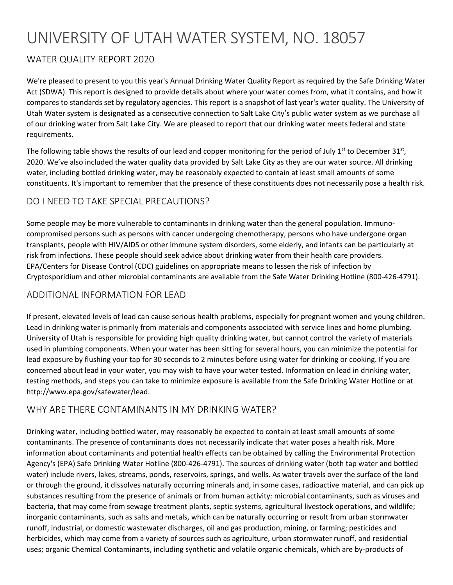# UNIVERSITY OF UTAH WATER SYSTEM, NO. 18057

## WATER QUALITY REPORT 2020

We're pleased to present to you this year's Annual Drinking Water Quality Report as required by the Safe Drinking Water Act (SDWA). This report is designed to provide details about where your water comes from, what it contains, and how it compares to standards set by regulatory agencies. This report is a snapshot of last year's water quality. The University of Utah Water system is designated as a consecutive connection to Salt Lake City's public water system as we purchase all of our drinking water from Salt Lake City. We are pleased to report that our drinking water meets federal and state requirements.

The following table shows the results of our lead and copper monitoring for the period of July  $1^{st}$  to December 31st, 2020. We've also included the water quality data provided by Salt Lake City as they are our water source. All drinking water, including bottled drinking water, may be reasonably expected to contain at least small amounts of some constituents. It's important to remember that the presence of these constituents does not necessarily pose a health risk.

#### DO I NEED TO TAKE SPECIAL PRECAUTIONS?

Some people may be more vulnerable to contaminants in drinking water than the general population. Immunocompromised persons such as persons with cancer undergoing chemotherapy, persons who have undergone organ transplants, people with HIV/AIDS or other immune system disorders, some elderly, and infants can be particularly at risk from infections. These people should seek advice about drinking water from their health care providers. EPA/Centers for Disease Control (CDC) guidelines on appropriate means to lessen the risk of infection by Cryptosporidium and other microbial contaminants are available from the Safe Water Drinking Hotline (800‐426‐4791).

#### ADDITIONAL INFORMATION FOR LEAD

If present, elevated levels of lead can cause serious health problems, especially for pregnant women and young children. Lead in drinking water is primarily from materials and components associated with service lines and home plumbing. University of Utah is responsible for providing high quality drinking water, but cannot control the variety of materials used in plumbing components. When your water has been sitting for several hours, you can minimize the potential for lead exposure by flushing your tap for 30 seconds to 2 minutes before using water for drinking or cooking. If you are concerned about lead in your water, you may wish to have your water tested. Information on lead in drinking water, testing methods, and steps you can take to minimize exposure is available from the Safe Drinking Water Hotline or at http://www.epa.gov/safewater/lead.

#### WHY ARE THERE CONTAMINANTS IN MY DRINKING WATER?

Drinking water, including bottled water, may reasonably be expected to contain at least small amounts of some contaminants. The presence of contaminants does not necessarily indicate that water poses a health risk. More information about contaminants and potential health effects can be obtained by calling the Environmental Protection Agency's (EPA) Safe Drinking Water Hotline (800‐426‐4791). The sources of drinking water (both tap water and bottled water) include rivers, lakes, streams, ponds, reservoirs, springs, and wells. As water travels over the surface of the land or through the ground, it dissolves naturally occurring minerals and, in some cases, radioactive material, and can pick up substances resulting from the presence of animals or from human activity: microbial contaminants, such as viruses and bacteria, that may come from sewage treatment plants, septic systems, agricultural livestock operations, and wildlife; inorganic contaminants, such as salts and metals, which can be naturally occurring or result from urban stormwater runoff, industrial, or domestic wastewater discharges, oil and gas production, mining, or farming; pesticides and herbicides, which may come from a variety of sources such as agriculture, urban stormwater runoff, and residential uses; organic Chemical Contaminants, including synthetic and volatile organic chemicals, which are by‐products of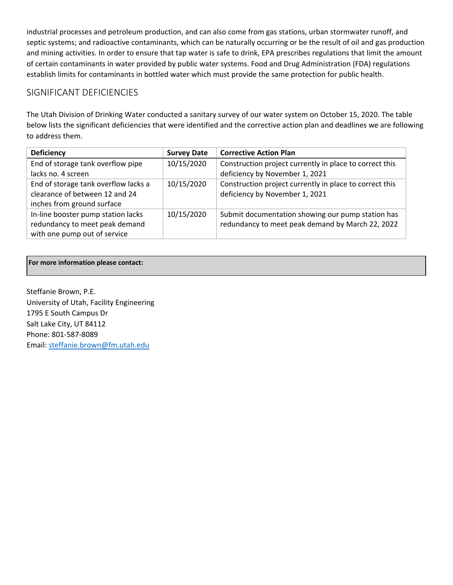industrial processes and petroleum production, and can also come from gas stations, urban stormwater runoff, and septic systems; and radioactive contaminants, which can be naturally occurring or be the result of oil and gas production and mining activities. In order to ensure that tap water is safe to drink, EPA prescribes regulations that limit the amount of certain contaminants in water provided by public water systems. Food and Drug Administration (FDA) regulations establish limits for contaminants in bottled water which must provide the same protection for public health.

### SIGNIFICANT DEFICIENCIES

The Utah Division of Drinking Water conducted a sanitary survey of our water system on October 15, 2020. The table below lists the significant deficiencies that were identified and the corrective action plan and deadlines we are following to address them.

| <b>Deficiency</b>                    | <b>Survey Date</b> | <b>Corrective Action Plan</b>                           |
|--------------------------------------|--------------------|---------------------------------------------------------|
| End of storage tank overflow pipe    | 10/15/2020         | Construction project currently in place to correct this |
| lacks no. 4 screen                   |                    | deficiency by November 1, 2021                          |
| End of storage tank overflow lacks a | 10/15/2020         | Construction project currently in place to correct this |
| clearance of between 12 and 24       |                    | deficiency by November 1, 2021                          |
| inches from ground surface           |                    |                                                         |
| In-line booster pump station lacks   | 10/15/2020         | Submit documentation showing our pump station has       |
| redundancy to meet peak demand       |                    | redundancy to meet peak demand by March 22, 2022        |
| with one pump out of service         |                    |                                                         |

#### **For more information please contact:**

Steffanie Brown, P.E. University of Utah, Facility Engineering 1795 E South Campus Dr Salt Lake City, UT 84112 Phone: 801‐587‐8089 Email: steffanie.brown@fm.utah.edu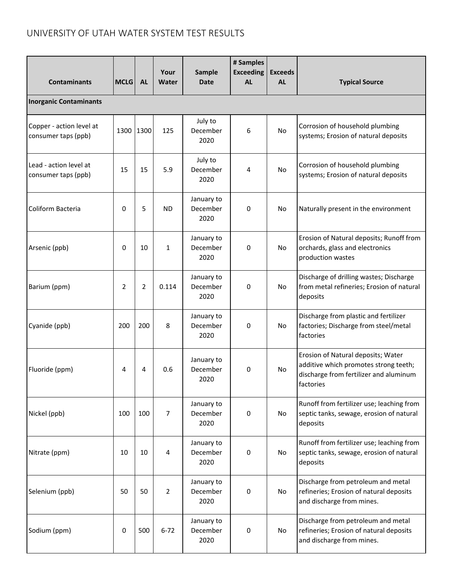## UNIVERSITY OF UTAH WATER SYSTEM TEST RESULTS

| <b>Contaminants</b>                             | <b>MCLG</b> | <b>AL</b>      | Your<br>Water  | Sample<br><b>Date</b>          | # Samples<br><b>Exceeding</b><br><b>AL</b> | <b>Exceeds</b><br><b>AL</b> | <b>Typical Source</b>                                                                                                              |
|-------------------------------------------------|-------------|----------------|----------------|--------------------------------|--------------------------------------------|-----------------------------|------------------------------------------------------------------------------------------------------------------------------------|
| <b>Inorganic Contaminants</b>                   |             |                |                |                                |                                            |                             |                                                                                                                                    |
| Copper - action level at<br>consumer taps (ppb) | 1300 1300   |                | 125            | July to<br>December<br>2020    | 6                                          | No                          | Corrosion of household plumbing<br>systems; Erosion of natural deposits                                                            |
| Lead - action level at<br>consumer taps (ppb)   | 15          | 15             | 5.9            | July to<br>December<br>2020    | 4                                          | <b>No</b>                   | Corrosion of household plumbing<br>systems; Erosion of natural deposits                                                            |
| Coliform Bacteria                               | $\mathbf 0$ | 5              | <b>ND</b>      | January to<br>December<br>2020 | 0                                          | No                          | Naturally present in the environment                                                                                               |
| Arsenic (ppb)                                   | 0           | 10             | $\mathbf{1}$   | January to<br>December<br>2020 | 0                                          | <b>No</b>                   | Erosion of Natural deposits; Runoff from<br>orchards, glass and electronics<br>production wastes                                   |
| Barium (ppm)                                    | 2           | $\overline{2}$ | 0.114          | January to<br>December<br>2020 | 0                                          | No                          | Discharge of drilling wastes; Discharge<br>from metal refineries; Erosion of natural<br>deposits                                   |
| Cyanide (ppb)                                   | 200         | 200            | 8              | January to<br>December<br>2020 | 0                                          | <b>No</b>                   | Discharge from plastic and fertilizer<br>factories; Discharge from steel/metal<br>factories                                        |
| Fluoride (ppm)                                  | 4           | 4              | 0.6            | January to<br>December<br>2020 | 0                                          | No                          | Erosion of Natural deposits; Water<br>additive which promotes strong teeth;<br>discharge from fertilizer and aluminum<br>factories |
| Nickel (ppb)                                    | 100         | 100            | $\overline{7}$ | January to<br>December<br>2020 | 0                                          | No                          | Runoff from fertilizer use; leaching from<br>septic tanks, sewage, erosion of natural<br>deposits                                  |
| Nitrate (ppm)                                   | 10          | 10             | 4              | January to<br>December<br>2020 | 0                                          | No                          | Runoff from fertilizer use; leaching from<br>septic tanks, sewage, erosion of natural<br>deposits                                  |
| Selenium (ppb)                                  | 50          | 50             | $\overline{2}$ | January to<br>December<br>2020 | 0                                          | No                          | Discharge from petroleum and metal<br>refineries; Erosion of natural deposits<br>and discharge from mines.                         |
| Sodium (ppm)                                    | 0           | 500            | $6 - 72$       | January to<br>December<br>2020 | $\mathbf 0$                                | No                          | Discharge from petroleum and metal<br>refineries; Erosion of natural deposits<br>and discharge from mines.                         |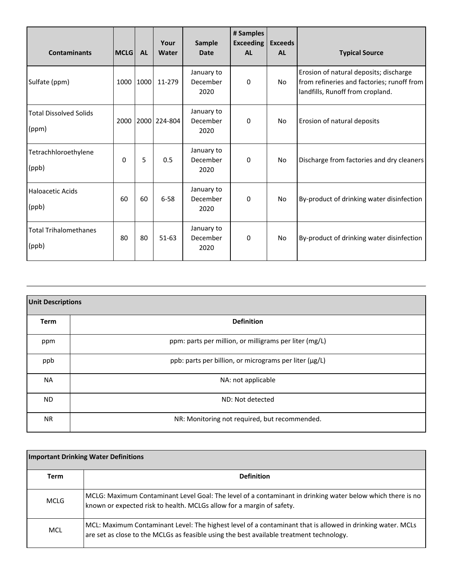| <b>Contaminants</b>                    | <b>MCLG</b> | <b>AL</b> | Your<br>Water | Sample<br><b>Date</b>          | # Samples<br><b>Exceeding</b><br><b>AL</b> | <b>Exceeds</b><br><b>AL</b> | <b>Typical Source</b>                                                                                                    |
|----------------------------------------|-------------|-----------|---------------|--------------------------------|--------------------------------------------|-----------------------------|--------------------------------------------------------------------------------------------------------------------------|
| Sulfate (ppm)                          |             | 1000 1000 | 11-279        | January to<br>December<br>2020 | 0                                          | <b>No</b>                   | Erosion of natural deposits; discharge<br>from refineries and factories; runoff from<br>landfills, Runoff from cropland. |
| <b>Total Dissolved Solids</b><br>(ppm) |             | 2000 2000 | 224-804       | January to<br>December<br>2020 | 0                                          | <b>No</b>                   | Erosion of natural deposits                                                                                              |
| Tetrachhloroethylene<br>(ppb)          | $\Omega$    | 5         | 0.5           | January to<br>December<br>2020 | $\Omega$                                   | <b>No</b>                   | Discharge from factories and dry cleaners                                                                                |
| <b>Haloacetic Acids</b><br>(ppb)       | 60          | 60        | $6 - 58$      | January to<br>December<br>2020 | $\Omega$                                   | <b>No</b>                   | By-product of drinking water disinfection                                                                                |
| <b>Total Trihalomethanes</b><br>(ppb)  | 80          | 80        | $51 - 63$     | January to<br>December<br>2020 | $\mathbf 0$                                | <b>No</b>                   | By-product of drinking water disinfection                                                                                |

| <b>Unit Descriptions</b> |                                                        |  |  |  |  |
|--------------------------|--------------------------------------------------------|--|--|--|--|
| <b>Term</b>              | <b>Definition</b>                                      |  |  |  |  |
| ppm                      | ppm: parts per million, or milligrams per liter (mg/L) |  |  |  |  |
| ppb                      | ppb: parts per billion, or micrograms per liter (µg/L) |  |  |  |  |
| <b>NA</b>                | NA: not applicable                                     |  |  |  |  |
| ND.                      | ND: Not detected                                       |  |  |  |  |
| <b>NR</b>                | NR: Monitoring not required, but recommended.          |  |  |  |  |

| <b>Important Drinking Water Definitions</b> |                                                                                                                                                                                                        |  |  |  |  |  |
|---------------------------------------------|--------------------------------------------------------------------------------------------------------------------------------------------------------------------------------------------------------|--|--|--|--|--|
| Term                                        | <b>Definition</b>                                                                                                                                                                                      |  |  |  |  |  |
| <b>MCLG</b>                                 | MCLG: Maximum Contaminant Level Goal: The level of a contaminant in drinking water below which there is no<br>known or expected risk to health. MCLGs allow for a margin of safety.                    |  |  |  |  |  |
| <b>MCL</b>                                  | MCL: Maximum Contaminant Level: The highest level of a contaminant that is allowed in drinking water. MCLs<br>are set as close to the MCLGs as feasible using the best available treatment technology. |  |  |  |  |  |